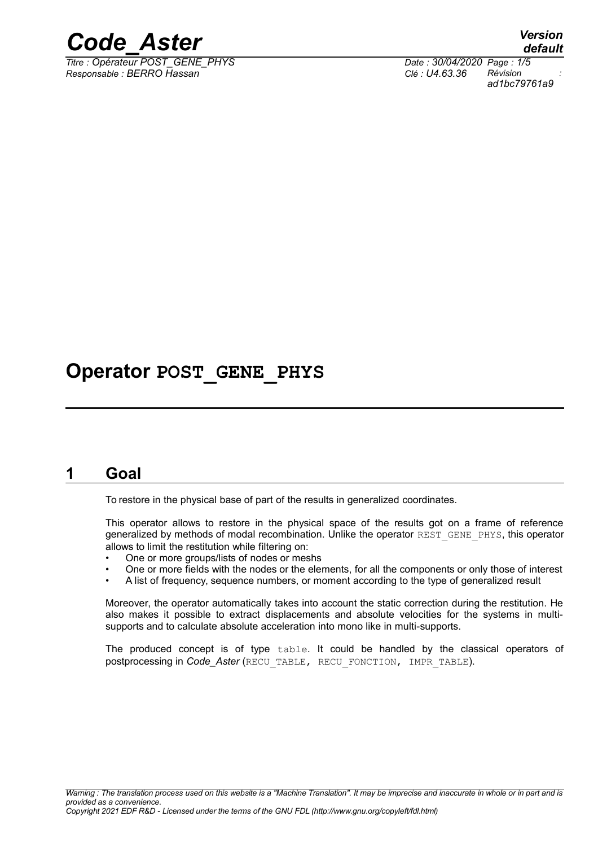

*Titre : Opérateur POST\_GENE\_PHYS Date : 30/04/2020 Page : 1/5 Responsable : BERRO Hassan Clé : U4.63.36 Révision :*

*default ad1bc79761a9*

## **Operator POST\_GENE\_PHYS**

#### **1 Goal**

To restore in the physical base of part of the results in generalized coordinates.

This operator allows to restore in the physical space of the results got on a frame of reference generalized by methods of modal recombination. Unlike the operator REST\_GENE\_PHYS, this operator allows to limit the restitution while filtering on:

- One or more groups/lists of nodes or meshs
- One or more fields with the nodes or the elements, for all the components or only those of interest
- A list of frequency, sequence numbers, or moment according to the type of generalized result

Moreover, the operator automatically takes into account the static correction during the restitution. He also makes it possible to extract displacements and absolute velocities for the systems in multisupports and to calculate absolute acceleration into mono like in multi-supports.

The produced concept is of type table. It could be handled by the classical operators of postprocessing in *Code\_Aster* (RECU\_TABLE, RECU\_FONCTION, IMPR\_TABLE).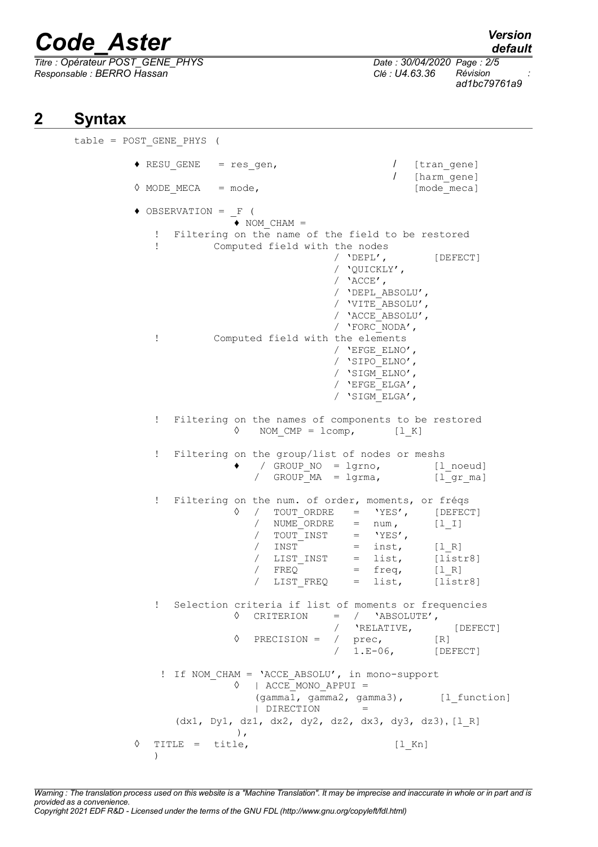# *Code\_Aster Version*

*Titre : Opérateur POST\_GENE\_PHYS Date : 30/04/2020 Page : 2/5 Responsable : BERRO Hassan Clé : U4.63.36 Révision :*

*default*

*ad1bc79761a9*

### **2 Syntax**

table = POST\_GENE\_PHYS (  $\triangleleft$  RESU GENE = res gen,  $\angle$  [tran gene] / [harm\_gene]  $\Diamond$  MODE MECA = mode,  $[\text{mode~meca}]$  $\triangle$  OBSERVATION =  $_F$  (  $\blacklozenge$  NOM CHAM = ! Filtering on the name of the field to be restored ! Computed field with the nodes / 'DEPL', [DEFECT] / 'QUICKLY',  $/$  'ACCE', / 'DEPL\_ABSOLU', / 'VITE\_ABSOLU', / 'ACCE\_ABSOLU', / 'FORC\_NODA', ! Computed field with the elements / 'EFGE\_ELNO', / 'SIPO\_ELNO', / 'SIGM\_ELNO', / 'EFGE\_ELGA', / 'SIGM\_ELGA', ! Filtering on the names of components to be restored  $\Diamond$  NOM CMP = lcomp, [l K] ! Filtering on the group/list of nodes or meshs / GROUP NO = lgrno, [l noeud] / GROUP MA = lgrma, [l gr ma] ! Filtering on the num. of order, moments, or fréqs  $\Diamond$  / TOUT\_ORDRE = 'YES', [DEFECT]<br>
/ NUME ORDRE = num, [1\_I] /  $NUME$  ORDRE = num,  $\begin{array}{ccc} \text{7} & \text{7} & \text{7} & \text{7} \\ \text{8} & \text{7} & \text{8} \\ \text{7} & \text{8} & \text{9} \\ \text{7} & \text{8} & \text{9} \\ \text{7} & \text{8} & \text{9} \\ \text{7} & \text{9} & \text{9} \\ \text{9} & \text{9} & \text{9} \\ \text{10} & \text{9} & \text{9} \\ \text{11} & \text{9} & \text{9} \\ \text{12} & \text{9} & \text{9} \\ \text{13} & \text{9} & \text{9} \\ \text{14$  $/$  INST = inst,  $[1_R]$ / LIST INST = list, [listr8]  $/$  FREQ = freq,  $[1_R]$ / LIST\_FREQ = list, [listr8] ! Selection criteria if list of moments or frequencies ◊ CRITERION = / 'ABSOLUTE', / 'RELATIVE, [DEFECT]  $\Diamond$  PRECISION = / prec, [R] / 1.E-06, [DEFECT] ! If NOM\_CHAM = 'ACCE\_ABSOLU', in mono-support ◊ | ACCE\_MONO\_APPUI =  $(gamma1, gamma2, gamma3),$  [l function] | DIRECTION = (dx1, Dy1, dz1, dx2, dy2, dz2, dx3, dy3, dz3), [l\_R] ), ◊ TITLE = title, [l\_Kn]  $\lambda$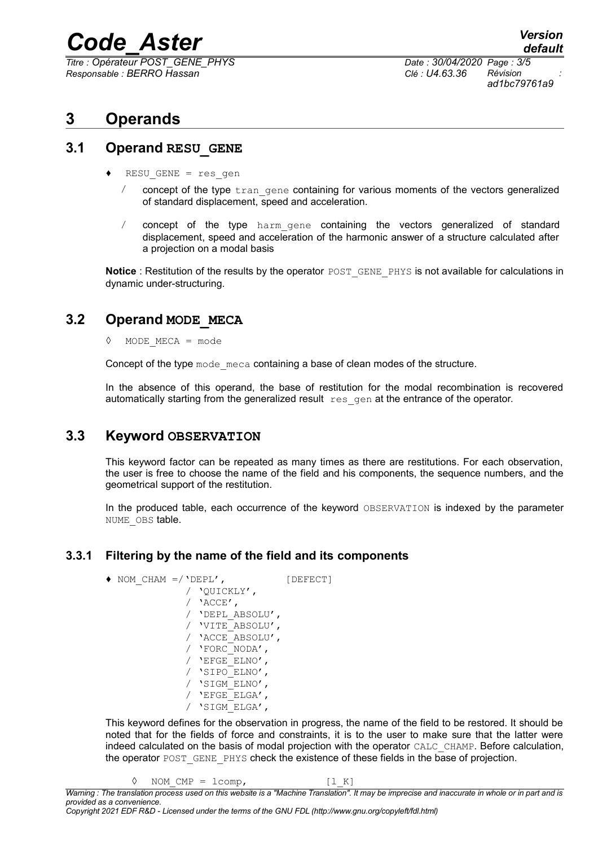# *Code\_Aster Version*

*Titre : Opérateur POST\_GENE\_PHYS Date : 30/04/2020 Page : 3/5 Responsable : BERRO Hassan Clé : U4.63.36 Révision :*

*default ad1bc79761a9*

### **3 Operands**

#### **3.1 Operand RESU\_GENE**

- $RESU$  GENE = res gen
	- $\ell$  concept of the type  $\text{tran}$  gene containing for various moments of the vectors generalized of standard displacement, speed and acceleration.
	- / concept of the type harm\_gene containing the vectors generalized of standard displacement, speed and acceleration of the harmonic answer of a structure calculated after a projection on a modal basis

**Notice**: Restitution of the results by the operator POST\_GENE\_PHYS is not available for calculations in dynamic under-structuring.

#### **3.2 Operand MODE\_MECA**

◊ MODE\_MECA = mode

Concept of the type mode meca containing a base of clean modes of the structure.

In the absence of this operand, the base of restitution for the modal recombination is recovered automatically starting from the generalized result resagen at the entrance of the operator.

#### **3.3 Keyword OBSERVATION**

This keyword factor can be repeated as many times as there are restitutions. For each observation, the user is free to choose the name of the field and his components, the sequence numbers, and the geometrical support of the restitution.

In the produced table, each occurrence of the keyword OBSERVATION is indexed by the parameter NUME OBS table.

#### **3.3.1 Filtering by the name of the field and its components**

 $\bullet$  NOM CHAM =/'DEPL',  $[DEFECT]$ / 'QUICKLY', / 'ACCE', / 'DEPL\_ABSOLU', / 'VITE\_ABSOLU', / 'ACCE\_ABSOLU', / 'FORC\_NODA', / 'EFGE\_ELNO', / 'SIPO\_ELNO', / 'SIGM\_ELNO', / 'EFGE\_ELGA', / 'SIGM\_ELGA',

This keyword defines for the observation in progress, the name of the field to be restored. It should be noted that for the fields of force and constraints, it is to the user to make sure that the latter were indeed calculated on the basis of modal projection with the operator CALC\_CHAMP. Before calculation, the operator POST\_GENE\_PHYS check the existence of these fields in the base of projection.

 $\Diamond$  NOM CMP = lcomp,  $[1 K]$ 

*Warning : The translation process used on this website is a "Machine Translation". It may be imprecise and inaccurate in whole or in part and is provided as a convenience.*

*Copyright 2021 EDF R&D - Licensed under the terms of the GNU FDL (http://www.gnu.org/copyleft/fdl.html)*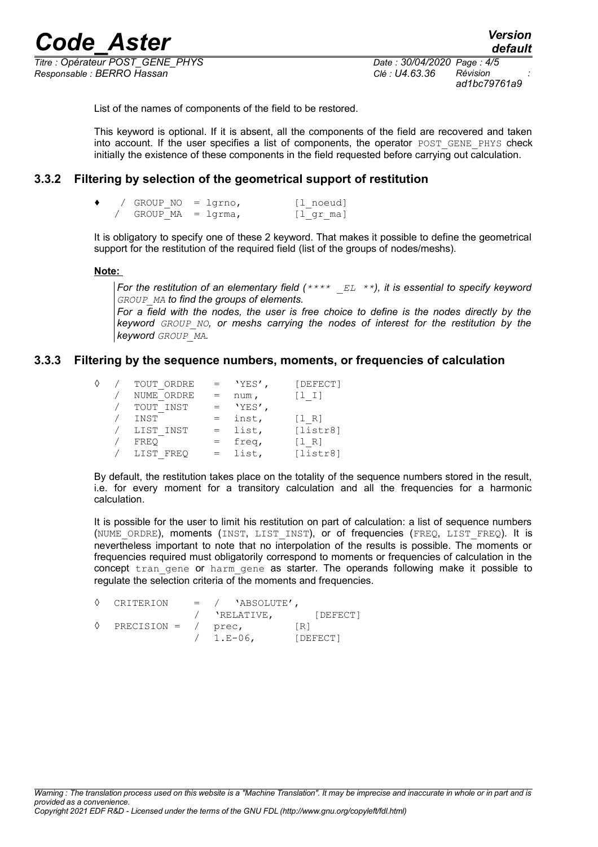*Titre : Opérateur POST\_GENE\_PHYS Date : 30/04/2020 Page : 4/5 Responsable : BERRO Hassan Clé : U4.63.36 Révision :*

*ad1bc79761a9*

List of the names of components of the field to be restored.

This keyword is optional. If it is absent, all the components of the field are recovered and taken into account. If the user specifies a list of components, the operator POST GENE PHYS check initially the existence of these components in the field requested before carrying out calculation.

#### **3.3.2 Filtering by selection of the geometrical support of restitution**

|  | GROUP $NO = 1$ grno, | [l noeud]   |
|--|----------------------|-------------|
|  | GROUP $MA = lqrma$ , | $[1$ qr ma] |

It is obligatory to specify one of these 2 keyword. That makes it possible to define the geometrical support for the restitution of the required field (list of the groups of nodes/meshs).

 **Note:**

*For the restitution of an elementary field (\*\*\*\* \_EL \*\*), it is essential to specify keyword GROUP\_MA to find the groups of elements.*

*For a field with the nodes, the user is free choice to define is the nodes directly by the keyword GROUP\_NO, or meshs carrying the nodes of interest for the restitution by the keyword GROUP\_MA.*

#### **3.3.3 Filtering by the sequence numbers, moments, or frequencies of calculation**

|  | TOUT ORDRE |     | 'YES', | [DEFECT]   |
|--|------------|-----|--------|------------|
|  | NUME ORDRE |     | num,   | $[1 \; 1]$ |
|  | TOUT INST  |     | 'YES', |            |
|  | INST       | $=$ | inst,  | $[1 R]$    |
|  | LIST INST  | $=$ | list,  | [listr8]   |
|  | FREO       |     | freq,  | (1 R)      |
|  | LIST FREQ  |     | list,  | [listr8]   |

By default, the restitution takes place on the totality of the sequence numbers stored in the result, i.e. for every moment for a transitory calculation and all the frequencies for a harmonic calculation.

It is possible for the user to limit his restitution on part of calculation: a list of sequence numbers (NUME ORDRE), moments (INST, LIST INST), or of frequencies (FREQ, LIST FREQ). It is nevertheless important to note that no interpolation of the results is possible. The moments or frequencies required must obligatorily correspond to moments or frequencies of calculation in the concept tran gene or harm gene as starter. The operands following make it possible to regulate the selection criteria of the moments and frequencies.

|   | CRITERION             | $=$ / $'ABSOLUTE'$ , |          |
|---|-----------------------|----------------------|----------|
|   |                       | 'RELATIVE,           | [DEFECT] |
| ♦ | PRECISION = $/$ prec, |                      | [R]      |
|   |                       | $/ 1.E-06$ ,         | [DEFECT] |